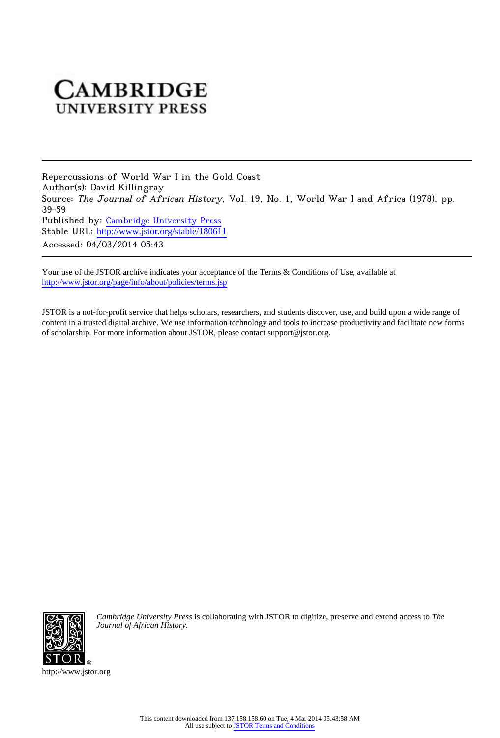## **CAMBRIDGE UNIVERSITY PRESS**

Repercussions of World War I in the Gold Coast Author(s): David Killingray Source: The Journal of African History, Vol. 19, No. 1, World War I and Africa (1978), pp. 39-59 Published by: [Cambridge University Press](http://www.jstor.org/action/showPublisher?publisherCode=cup) Stable URL: http://www.jstor.org/stable/180611 Accessed: 04/03/2014 05:43

Your use of the JSTOR archive indicates your acceptance of the Terms & Conditions of Use, available at <http://www.jstor.org/page/info/about/policies/terms.jsp>

JSTOR is a not-for-profit service that helps scholars, researchers, and students discover, use, and build upon a wide range of content in a trusted digital archive. We use information technology and tools to increase productivity and facilitate new forms of scholarship. For more information about JSTOR, please contact support@jstor.org.



*Cambridge University Press* is collaborating with JSTOR to digitize, preserve and extend access to *The Journal of African History.*

http://www.jstor.org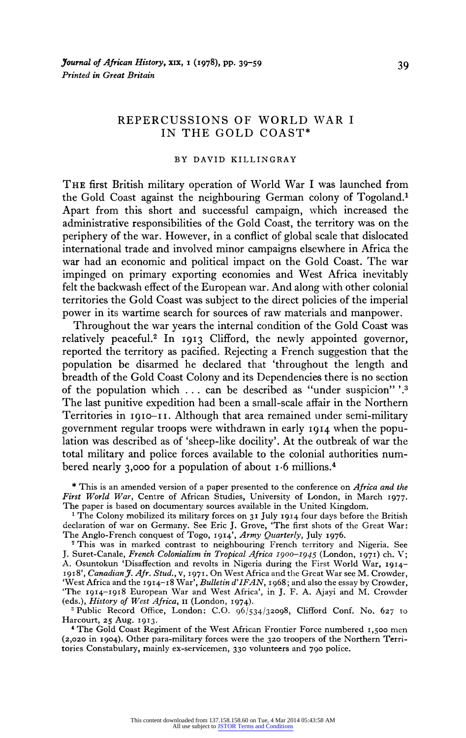## **REPERCUSSIONS OF WORLD WAR I IN THE GOLD COAST\***

## **BY DAVID KILLINGRAY**

**THE first British military operation of World War I was launched from the Gold Coast against the neighbouring German colony of Togoland.1 Apart from this short and successful campaign, which increased the administrative responsibilities of the Gold Coast, the territory was on the periphery of the war. However, in a conflict of global scale that dislocated international trade and involved minor campaigns elsewhere in Africa the war had an economic and political impact on the Gold Coast. The war impinged on primary exporting economies and West Africa inevitably felt the backwash effect of the European war. And along with other colonial territories the Gold Coast was subject to the direct policies of the imperial power in its wartime search for sources of raw materials and manpower.** 

**Throughout the war years the internal condition of the Gold Coast was relatively peaceful.2 In I9I3 Clifford, the newly appointed governor, reported the territory as pacified. Rejecting a French suggestion that the population be disarmed he declared that 'throughout the length and breadth of the Gold Coast Colony and its Dependencies there is no section of the population which ... can be described as "under suspicion" '.3 The last punitive expedition had been a small-scale affair in the Northern**  Territories in 1910-11. Although that area remained under semi-military **government regular troops were withdrawn in early I9I4 when the population was described as of 'sheep-like docility'. At the outbreak of war the total military and police forces available to the colonial authorities numbered nearly 3,000 for a population of about 1-6 millions.4** 

**The Anglo-French conquest of Togo, 1914', Army Quarterly, July I976. <sup>2</sup>This was in marked contrast to neighbouring French territory and Nigeria. See J. Suret-Canale, French Colonialism in Tropical Africa I900o-I945 (London, I971) ch. V; A. Osuntokun 'Disaffection and revolts in Nigeria during the First World War, I914- I918', Canadian J. Afr. Stud., v, 197I. On West Africa and the Great War see M. Crowder, 'West Africa and the 1914-18 War', Bulletin d'IFAN, I968; and also the essay by Crowder, 'The 19I4-I918 European War and West Africa', in J. F. A. Ajayi and M. Crowder (eds.), History of West Africa, II (London, I974).** 

<sup>2</sup> Public Record Office, London: C.O. 96/534/32098, Clifford Conf. No. 627 to **Harcourt, 25 Aug. 19I3.** 

**4 The Gold Coast Regiment of the West African Frontier Force numbered 1,500 men (2,020 in 1904). Other para-military forces were the 320 troopers of the Northern Territories Constabulary, mainly ex-servicemen, 330 volunteers and 790 police.** 

**<sup>\*</sup> This is an amended version of a paper presented to the conference on Africa and the First World War, Centre of African Studies, University of London, in March I977. The paper is based on documentary sources available in the United Kingdom.** 

**<sup>1</sup>The Colony mobilized its military forces on 31 July 19I4 four days before the British declaration of war on Germany. See Eric J. Grove, 'The first shots of the Great War:**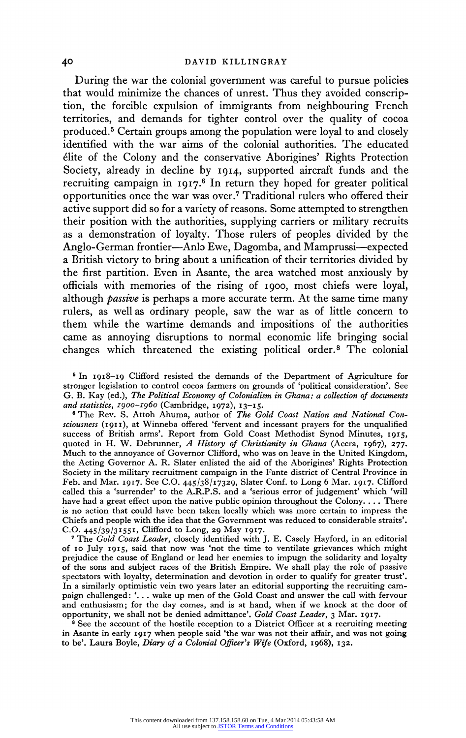**During the war the colonial government was careful to pursue policies that would minimize the chances of unrest. Thus they avoided conscription, the forcible expulsion of immigrants from neighbouring French territories, and demands for tighter control over the quality of cocoa produced.5 Certain groups among the population were loyal to and closely identified with the war aims of the colonial authorities. The educated elite of the Colony and the conservative Aborigines' Rights Protection Society, already in decline by I914, supported aircraft funds and the recruiting campaign in I917.6 In return they hoped for greater political opportunities once the war was over.7 Traditional rulers who offered their active support did so for a variety of reasons. Some attempted to strengthen their position with the authorities, supplying carriers or military recruits as a demonstration of loyalty. Those rulers of peoples divided by the Anglo-German frontier-Anlz Ewe, Dagomba, and Mamprussi-expected a British victory to bring about a unification of their territories divided by the first partition. Even in Asante, the area watched most anxiously by officials with memories of the rising of 1900, most chiefs were loyal, although passive is perhaps a more accurate term. At the same time many rulers, as well as ordinary people, saw the war as of little concern to them while the wartime demands and impositions of the authorities came as annoying disruptions to normal economic life bringing social changes which threatened the existing political order.8 The colonial** 

**5 In 1918-19 Clifford resisted the demands of the Department of Agriculture for stronger legislation to control cocoa farmers on grounds of 'political consideration'. See G. B. Kay (ed.), The Political Economy of Colonialism in Ghana: a collection of documents** 

**and statistics, 1900-I960 (Cambridge, 1972), 13-15. 6 The Rev. S. Attoh Ahuma, author of The Gold Coast Nation and National Consciousness (191I), at Winneba offered 'fervent and incessant prayers for the unqualified success of British arms'. Report from Gold Coast Methodist Synod Minutes, I915, quoted in H. W. Debrunner, A History of Christianity in Ghana (Accra, 1967), 277. Much to the annoyance of Governor Clifford, who was on leave in the United Kingdom, the Acting Governor A. R. Slater enlisted the aid of the Aborigines' Rights Protection Society in the military recruitment campaign in the Fante district of Central Province in Feb. and Mar. 1917. See C.O. 445/38/1I7329, Slater Conf. to Long 6 Mar. I917. Clifford called this a 'surrender' to the A.R.P.S. and a 'serious error of judgement' which 'will have had a great effect upon the native public opinion throughout the Colony.... There is no action that could have been taken locally which was more certain to impress the Chiefs and people with the idea that the Government was reduced to considerable straits'. C.O. 445/39/3155I, Clifford to Long, 29 May I917.** 

**<sup>7</sup>The Gold Coast Leader, closely identified with J. E. Casely Hayford, in an editorial of 10 July 19I5, said that now was 'not the time to ventilate grievances which might prejudice the cause of England or lead her enemies to impugn the solidarity and loyalty of the sons and subject races of the British Empire. We shall play the role of passive spectators with loyalty, determination and devotion in order to qualify for greater trust'. In a similarly optimistic vein two years later an editorial supporting the recruiting campaign challenged: '. . . wake up men of the Gold Coast and answer the call with fervour and enthusiasm; for the day comes, and is at hand, when if we knock at the door of opportunity, we shall not be denied admittance'. Gold Coast Leader, 3 Mar. 1917.** 

**<sup>8</sup>See the account of the hostile reception to a District Officer at a recruiting meeting in Asante in early 1917 when people said 'the war was not their affair, and was not going to be'. Laura Boyle, Diary of a Colonial Officer's Wife (Oxford, I968), I32.**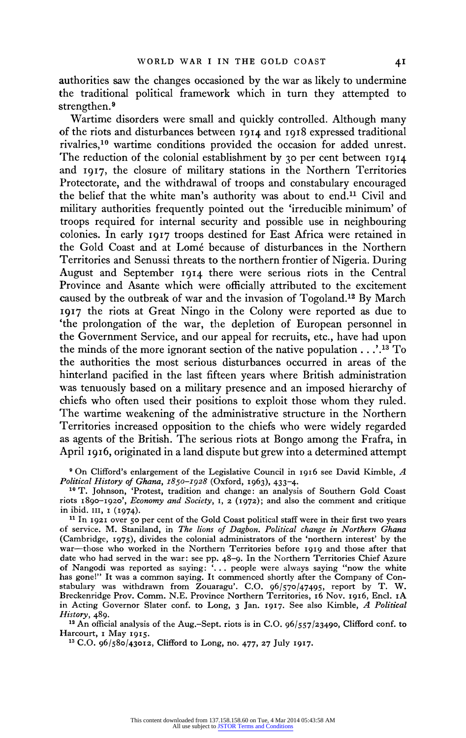**authorities saw the changes occasioned by the war as likely to undermine the traditional political framework which in turn they attempted to strengthen.9** 

**Wartime disorders were small and quickly controlled. Although many of the riots and disturbances between I9I4 and I918 expressed traditional rivalries,10 wartime conditions provided the occasion for added unrest. The reduction of the colonial establishment by 30 per cent between I9I4 and 1917, the closure of military stations in the Northern Territories Protectorate, and the withdrawal of troops and constabulary encouraged**  the belief that the white man's authority was about to end.<sup>11</sup> Civil and **military authorities frequently pointed out the 'irreducible minimum' of troops required for internal security and possible use in neighbouring colonies. In early 19I7 troops destined for East Africa were retained in the Gold Coast and at Lome because of disturbances in the Northern Territories and Senussi threats to the northern frontier of Nigeria. During August and September 19I4 there were serious riots in the Central Province and Asante which were officially attributed to the excitement caused by the outbreak of war and the invasion of Togoland.l2 By March 19I7 the riots at Great Ningo in the Colony were reported as due to 'the prolongation of the war, the depletion of European personnel in the Government Service, and our appeal for recruits, etc., have had upon the minds of the more ignorant section of the native population .. ..13 To the authorities the most serious disturbances occurred in areas of the hinterland pacified in the last fifteen years where British administration was tenuously based on a military presence and an imposed hierarchy of chiefs who often used their positions to exploit those whom they ruled. The wartime weakening of the administrative structure in the Northern Territories increased opposition to the chiefs who were widely regarded as agents of the British. The serious riots at Bongo among the Frafra, in April 1916, originated in a land dispute but grew into a determined attempt** 

<sup>9</sup> On Clifford's enlargement of the Legislative Council in 1916 see David Kimble, A *Political History of Ghana*,  $1850-1928$  (Oxford, 1963), 433-4.

**Political History of Ghana, I850-1928 (Oxford, 1963), 433-4. 10 T. Johnson, 'Protest, tradition and change: an analysis of Southern Gold Coast riots I890-I920', Economy and Society, I, 2 (I972); and also the comment and critique in ibid. II, i (I974).** 

**11 In 1921 over 50 per cent of the Gold Coast political staff were in their first two years of service. M. Staniland, in The lions of Dagbon. Political change in Northern Ghana (Cambridge, 1975), divides the colonial administrators of the 'northern interest' by the war-those who worked in the Northern Territories before I919 and those after that date who had served in the war: see pp. 48-9. In the Northern Territories Chief Azure of Nangodi was reported as saying: '... people were always saying "now the white has gone!" It was a common saying. It commenced shortly after the Company of Constabulary was withdrawn from Zouaragu'. C.O. 96/570/47495, report by T. W. Breckenridge Prov. Comm. N.E. Province Northern Territories, I6 Nov. I916, End. IA in Acting Governor Slater conf. to Long, 3 Jan. 1917. See also Kimble, A Political History, 489.** 

**<sup>12</sup>An official analysis of the Aug.-Sept. riots is in C.O. 96/557/23490, Clifford conf. to Harcourt, i May I9I5.** 

**<sup>13</sup>C.O. 96/580/43012, Clifford to Long, no. 477, 27 July I917.**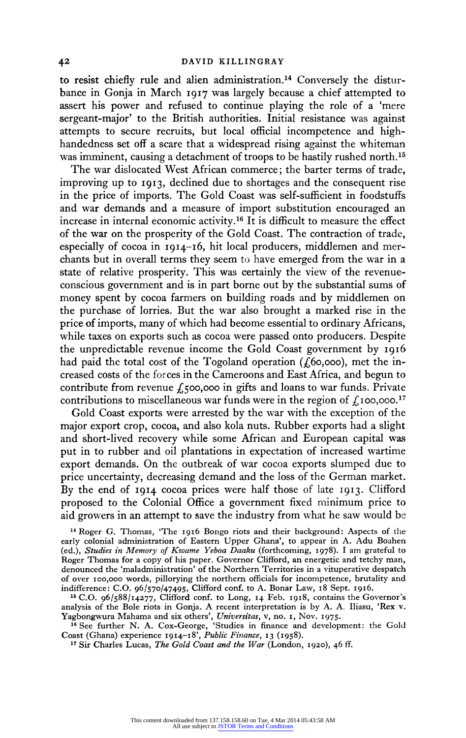to resist chiefly rule and alien administration.<sup>14</sup> Conversely the distur**bance in Gonja in March I9I7 was largely because a chief attempted to assert his power and refused to continue playing the role of a 'mere sergeant-major' to the British authorities. Initial resistance was against attempts to secure recruits, but local official incompetence and highhandedness set off a scare that a widespread rising against the whiteman**  was imminent, causing a detachment of troops to be hastily rushed north.<sup>15</sup>

**The war dislocated West African commerce; the barter terms of trade, improving up to I913, declined due to shortages and the consequent rise in the price of imports. The Gold Coast was self-sufficient in foodstuffs and war demands and a measure of import substitution encouraged an increase in internal economic activity.16 It is difficult to measure the effect of the war on the prosperity of the Gold Coast. The contraction of trade, especially of cocoa in I914-I6, hit local producers, middlemen and merchants but in overall terms they seem to have emerged from the war in a state of relative prosperity. This was certainly the view of the revenueconscious government and is in part borne out by the substantial sums of money spent by cocoa farmers on building roads and by middlemen on the purchase of lorries. But the war also brought a marked rise in the price of imports, many of which had become essential to ordinary Africans, while taxes on exports such as cocoa were passed onto producers. Despite the unpredictable revenue income the Gold Coast government by I916**  had paid the total cost of the Togoland operation (£60,000), met the in**creased costs of the forces in the Cameroons and East Africa, and begun to**  contribute from revenue £500,000 in gifts and loans to war funds. Private contributions to miscellaneous war funds were in the region of  $\oint$ , 100,000.<sup>17</sup>

**Gold Coast exports were arrested by the war with the exception of the major export crop, cocoa, and also kola nuts. Rubber exports had a slight and short-lived recovery while some African and European capital was put in to rubber and oil plantations in expectation of increased wartime export demands. On the outbreak of war cocoa exports slumped due to price uncertainty, decreasing demand and the loss of the German market. By the end of I9I4 cocoa prices were half those of late I913. Clifford proposed to the Colonial Office a government fixed minimum price to aid growers in an attempt to save the industry from what he saw would be** 

**<sup>14</sup>Roger G. Thomas, 'The I916 Bongo riots and their background: Aspects of the early colonial administration of Eastern Upper Ghana', to appear in A. Adu Boahen (ed.), Studies in Memory of Kwame Yeboa Daaku (forthcoming, 1978). I am grateful to Roger Thomas for a copy of his paper. Governor Clifford, an energetic and tetchy man, denounced the 'maladministration' of the Northern Territories in a vituperative despatch of over 100oo,ooo words, pillorying the northern officials for incompetence, brutality and indifference: C.O. 96/570/47495, Clifford conf. to A. Bonar Law, I8 Sept. I9I6.** 

**<sup>15</sup> C.O. 96/588/14277, Clifford conf. to Long, 14 Feb. I918, contains the Governor's analysis of the Bole riots in Gonja. A recent interpretation is by A. A. Iliasu, 'Rex v. Yagbongwura Mahama and six others', Universitas, v, no. I, Nov. 1975.** 

**<sup>16</sup> See further N. A. Cox-George, 'Studies in finance and development: the Gold Coast (Ghana) experience I9I4-I8', Public Finance, I3 (I958).** 

**<sup>17</sup>Sir Charles Lucas, The Gold Coast and the War (London, I920), 46 ff.**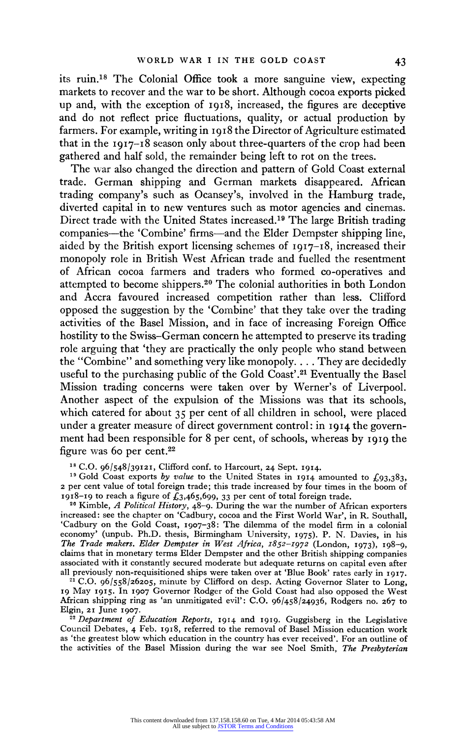**its ruin.18 The Colonial Office took a more sanguine view, expecting markets to recover and the war to be short. Although cocoa exports picked up and, with the exception of I918, increased, the figures are deceptive and do not reflect price fluctuations, quality, or actual production by farmers. For example, writing in I918 the Director of Agriculture estimated that in the I9I7-18 season only about three-quarters of the crop had been gathered and half sold, the remainder being left to rot on the trees.** 

**The war also changed the direction and pattern of Gold Coast external trade. German shipping and German markets disappeared. African trading company's such as Ocansey's, involved in the Hamburg trade, diverted capital in to new ventures such as motor agencies and cinemas. Direct trade with the United States increased.19 The large British trading companies-the 'Combine' firms-and the Elder Dempster shipping line, aided by the British export licensing schemes of 1917-18, increased their monopoly role in British West African trade and fuelled the resentment of African cocoa farmers and traders who formed co-operatives and attempted to become shippers.20 The colonial authorities in both London and Accra favoured increased competition rather than less. Clifford opposed the suggestion by the 'Combine' that they take over the trading activities of the Basel Mission, and in face of increasing Foreign Office hostility to the Swiss-German concern he attempted to preserve its trading role arguing that 'they are practically the only people who stand between the "Combine" and something very like monopoly.... They are decidedly useful to the purchasing public of the Gold Coast'.21 Eventually the Basel Mission trading concerns were taken over by Werner's of Liverpool. Another aspect of the expulsion of the Missions was that its schools, which catered for about 35 per cent of all children in school, were placed under a greater measure of direct government control: in I914 the government had been responsible for 8 per cent, of schools, whereas by I9I9 the figure was 60 per cent.22** 

**<sup>18</sup>C.O. 96/548/39121, Clifford conf. to Harcourt, 24 Sept. I914.** 

<sup>19</sup> Gold Coast exports by value to the United States in  $1914$  amounted to  $\pounds$ 93,383, **2 per cent value of total foreign trade; this trade increased by four times in the boom of 1918-19** to reach a figure of  $\bar{\mathcal{L}}_3$ ,465,699, 33 per cent of total foreign trade.

**<sup>20</sup>Kimble, A Political History, 48-9. During the war the number of African exporters increased: see the chapter on 'Cadbury, cocoa and the First World War', in R. Southall, 'Cadbury on the Gold Coast, 1907-38: The dilemma of the model firm in a colonial economy' (unpub. Ph.D. thesis, Birmingham University, I975). P. N. Davies, in his The Trade makers. Elder Dempster in West Africa, I852-I972 (London, I973), I98-9, claims that in monetary terms Elder Dempster and the other British shipping companies associated with it constantly secured moderate but adequate returns on capital even after all previously non-requisitioned ships were taken over at 'Blue Book' rates early in 1917.** 

**<sup>21</sup>C.O. 96/558/26205, minute by Clifford on desp. Acting Governor Slater to Long, 19 May I915. In I907 Governor Rodger of the Gold Coast had also opposed the West African shipping ring as 'an unmitigated evil': C.O. 96/458/24936, Rodgers no. 267 to Elgin, 21 June I907.** 

**22 Department of Education Reports, I914 and 1919. Guggisberg in the Legislative Council Debates, 4 Feb. I918, referred to the removal of Basel Mission education work as 'the greatest blow which education in the country has ever received'. For an outline of the activities of the Basel Mission during the war see Noel Smith, The Presbyterian**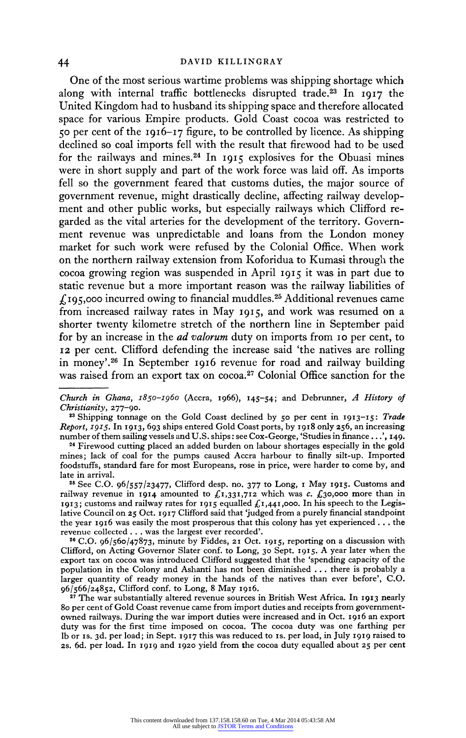**One of the most serious wartime problems was shipping shortage which along with internal traffic bottlenecks disrupted trade.23 In I9I7 the United Kingdom had to husband its shipping space and therefore allocated space for various Empire products. Gold Coast cocoa was restricted to 50 per cent of the I916-17 figure, to be controlled by licence. As shipping declined so coal imports fell with the result that firewood had to be used for the railways and mines.24 In 1915 explosives for the Obuasi mines were in short supply and part of the work force was laid off. As imports fell so the government feared that customs duties, the major source of government revenue, might drastically decline, affecting railway development and other public works, but especially railways which Clifford regarded as the vital arteries for the development of the territory. Government revenue was unpredictable and loans from the London money market for such work were refused by the Colonial Office. When work on the northern railway extension from Koforidua to Kumasi through the cocoa growing region was suspended in April i915 it was in part due to static revenue but a more important reason was the railway liabilities of Ig95,000 incurred owing to financial muddles.25 Additional revenues came from increased railway rates in May 1915, and work was resumed on a shorter twenty kilometre stretch of the northern line in September paid for by an increase in the ad valorum duty on imports from io per cent, to <sup>12</sup>per cent. Clifford defending the increase said 'the natives are rolling in money'.26 In September 1916 revenue for road and railway building was raised from an export tax on cocoa.27 Colonial Office sanction for the** 

**<sup>26</sup>C.O. 96/560/47873, minute by Fiddes, 21 Oct. 1915, reporting on a discussion with Clifford, on Acting Governor Slater conf. to Long, 30 Sept. 1915. A year later when the export tax on cocoa was introduced Clifford suggested that the 'spending capacity of the population in the Colony and Ashanti has not been diminished ... there is probably a larger quantity of ready money in the hands of the natives than ever before', C.O. 96/566/24852, Clifford conf. to Long, 8 May I9I6.** 

**<sup>27</sup>The war substantially altered revenue sources in British West Africa. In 1913 nearly 80 per cent of Gold Coast revenue came from import duties and receipts from govermentowned railways. During the war import duties were increased and in Oct. I9I6 an export duty was for the first time imposed on cocoa. The cocoa duty was one farthing per lb or Is. 3d. per load; in Sept. 1917 this was reduced to is. per load, in July 1919 raised to 2s. 6d. per load. In I919 and 1920 yield from the cocoa duty equalled about 25 per cent** 

**Church in Ghana, I850-1960 (Accra, 1966), I45-54; and Debrunner, A History of Christianity, 277-90.** 

**<sup>23</sup>Shipping tonnage on the Gold Coast declined by 50 per cent in 1913-15: Trade Report, 1915. In I913, 693 ships entered Gold Coast ports, by 1918 only 256, an increasing number of them sailing vessels and U.S. ships: see Cox-George, 'Studies in finance.. .', I49.** 

**<sup>24</sup>Firewood cutting placed an added burden on labour shortages especially in the gold mines; lack of coal for the pumps caused Accra harbour to finally silt-up. Imported foodstuffs, standard fare for most Europeans, rose in price, were harder to come by, and late in arrival.** 

**<sup>25</sup>See C.O. 96/557/23477, Clifford desp. no. 377 to Long, i May 1915. Customs and**  railway revenue in **1914** amounted to  $f_{1,331,712}$  which was c.  $f_{30,000}$  more than in **I9I3; customs and railway rates for 1915 equalled ?I,44I,ooo. In his speech to the Legislative Council on 25 Oct. I917 Clifford said that 'judged from a purely financial standpoint the year 1916 was easily the most prosperous that this colony has yet experienced ... the revenue collected ... was the largest ever recorded'.**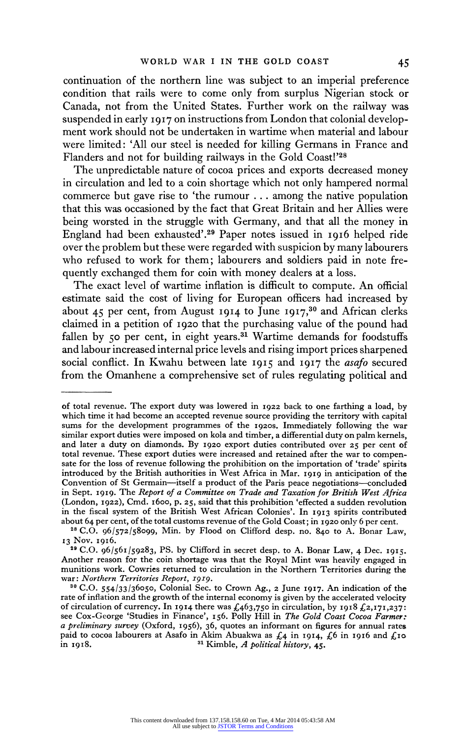**continuation of the northern line was subject to an imperial preference condition that rails were to come only from surplus Nigerian stock or Canada, not from the United States. Further work on the railway was suspended in early 1917 on instructions from London that colonial development work should not be undertaken in wartime when material and labour were limited: 'All our steel is needed for killing Germans in France and Flanders and not for building railways in the Gold Coast!'28** 

**The unpredictable nature of cocoa prices and exports decreased money in circulation and led to a coin shortage which not only hampered normal commerce but gave rise to 'the rumour ... among the native population that this was occasioned by the fact that Great Britain and her Allies were being worsted in the struggle with Germany, and that all the money in England had been exhausted'.29 Paper notes issued in 1916 helped ride over the problem but these were regarded with suspicion by many labourers who refused to work for them; labourers and soldiers paid in note frequently exchanged them for coin with money dealers at a loss.** 

**The exact level of wartime inflation is difficult to compute. An official estimate said the cost of living for European officers had increased by about 45 per cent, from August 19I4 to June I917,30 and African clerks claimed in a petition of I920 that the purchasing value of the pound had**  fallen by 50 per cent, in eight years.<sup>31</sup> Wartime demands for foodstuffs **and labour increased internal price levels and rising import prices sharpened social conflict. In Kwahu between late 1915 and I917 the asafo secured from the Omanhene a comprehensive set of rules regulating political and** 

**of total revenue. The export duty was lowered in I922 back to one farthing a load, by which time it had become an accepted revenue source providing the territory with capital sums for the development programmes of the 1920S. Immediately following the war similar export duties were imposed on kola and timber, a differential duty on palm kernels, and later a duty on diamonds. By 1920 export duties contributed over 25 per cent of total revenue. These export duties were increased and retained after the war to compensate for the loss of revenue following the prohibition on the importation of 'trade' spirits introduced by the British authorities in West Africa in Mar. I919 in anticipation of the Convention of St Germain-itself a product of the Paris peace negotiations-concluded in Sept. I9I9. The Report of a Committee on Trade and Taxation for British West Africa (London, I922), Cmd. i6oo, p. 25, said that this prohibition 'effected a sudden revolution in the fiscal system of the British West African Colonies'. In 1913 spirits contributed about 64 per cent, of the total customs revenue of the Gold Coast; in I 920 only 6 per cent.** 

**<sup>28</sup>C.O. 96/572/58099, Min. by Flood on Clifford desp. no. 840 to A. Bonar Law, 13 Nov. I9I6.** 

**<sup>29</sup>C.O. 96/561/59283, PS. by Clifford in secret desp. to A. Bonar Law, 4 Dec. 1915. Another reason for the coin shortage was that the Royal Mint was heavily engaged in munitions work. Cowries returned to circulation in the Northern Territories during the war: Northern Territories Report, 1919.** 

**<sup>30</sup> C.O. 554/33/36050, Colonial Sec. to Crown Ag., 2 June I917. An indication of the rate of inflation and the growth of the internal economy is given by the accelerated velocity of circulation of currency. In 1914 there was £463,750 in circulation, by 1918 £2,171,23 see Cox-George 'Studies in Finance', I56. Polly Hill in The Gold Coast Cocoa Farmer: a preliminary survey (Oxford, 1956), 36, quotes an informant on figures for annual rates**  paid to cocoa labourers at Asafo in Akim Abuakwa as  $\{4 \text{ in } 1914, \text{ } 46 \text{ in } 1916 \text{ and } \text{ } 410 \text{ in } 1918. \}$ **in 1918. 31 Kimble, A political history, 45.**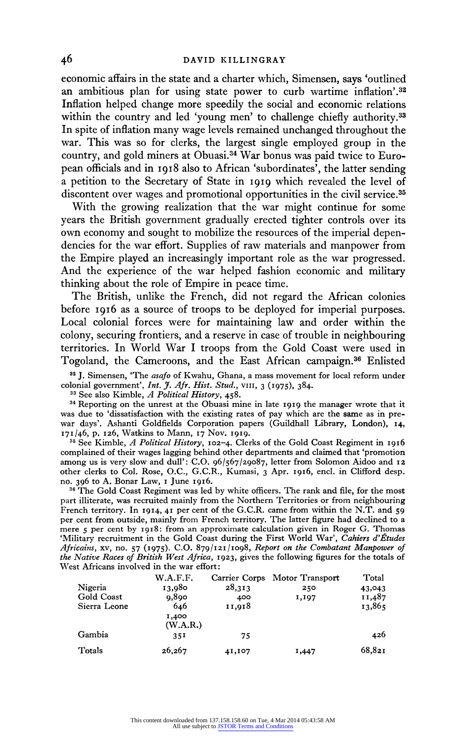**economic affairs in the state and a charter which, Simensen, says 'outlined an ambitious plan for using state power to curb wartime inflation'.32 Inflation helped change more speedily the social and economic relations**  within the country and led 'young men' to challenge chiefly authority.<sup>33</sup> **In spite of inflation many wage levels remained unchanged throughout the war. This was so for clerks, the largest single employed group in the country, and gold miners at Obuasi.34 War bonus was paid twice to European officials and in 1918 also to African 'subordinates', the latter sending a petition to the Secretary of State in I9I9 which revealed the level of discontent over wages and promotional opportunities in the civil service.35** 

**With the growing realization that the war might continue for some years the British government gradually erected tighter controls over its own economy and sought to mobilize the resources of the imperial dependencies for the war effort. Supplies of raw materials and manpower from the Empire played an increasingly important role as the war progressed. And the experience of the war helped fashion economic and military thinking about the role of Empire in peace time.** 

**The British, unlike the French, did not regard the African colonies before I916 as a source of troops to be deployed for imperial purposes. Local colonial forces were for maintaining law and order within the colony, securing frontiers, and a reserve in case of trouble in neighbouring territories. In World War I troops from the Gold Coast were used in Togoland, the Cameroons, and the East African campaign.36 Enlisted** 

**<sup>32</sup>J. Simensen, 'The asafo of Kwahu, Ghana, a mass movement for local reform under colonial government', Int. \_J. Afr. Hist. Stud., VIII, 3 (I975), 384. 33 See also Kimble, A Political History, 458.** 

**<sup>34</sup>Reporting on the unrest at the Obuasi mine in late I919 the manager wrote that it was due to 'dissatisfaction with the existing rates of pay which are the same as in prewar days'. Ashanti Goldfields Corporation papers (Guildhall Library, London), x4, 171/46, p. 126, Watkins to Mann, I7 Nov. 1919.** 

**35 See Kimble, A Political History, 102-4. Clerks of the Gold Coast Regiment in I916 complained of their wages lagging behind other departments and claimed that 'promotion among us is very slow and dull': C.O. 96/567/29087, letter from Solomon Aidoo and I2 other clerks to Col. Rose, O.C., G.C.R., Kumasi, 3 Apr. I916, encl. in Clifford desp. no. 396 to A. Bonar Law, I June I916.** 

**<sup>36</sup>The Gold Coast Regiment was led by white officers. The rank and file, for the most part illiterate, was recruited mainly from the Northern Territories or from neighbouring French territory. In 1914, 4I per cent of the G.C.R. came from within the N.T. and 59 per cent from outside, mainly from French territory. The latter figure had declined to a mere 5 per cent by I9I8: from an approximate calculation given in Roger G. Thomas**  'Military recruitment in the Gold Coast during the First World War', Cahiers d'Études **Africains, xv, no. 57 (I975). C.O. 879/12I/1098, Report on the Combatant Manpower of the Native Races of British West Africa, 1923, gives the following figures for the totals of West Africans involved in the war effort:** 

|              | W.A.F.F.          |        | Carrier Corps Motor Transport | Total  |
|--------------|-------------------|--------|-------------------------------|--------|
| Nigeria      | 13,980            | 28,313 | 250                           | 43,043 |
| Gold Coast   | 0.890             | 400    | 1,197                         | 11,487 |
| Sierra Leone | 646               | 11,918 |                               | 13,865 |
|              | 1,400<br>(W.A.R.) |        |                               |        |
| Gambia       | 35 <sup>T</sup>   | 75     |                               | 426    |
| Totals       | 26,267            | 41,107 | 1,447                         | 68,821 |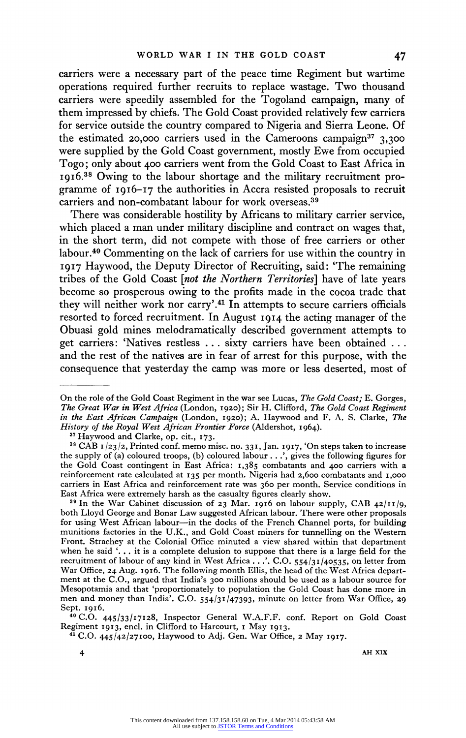**carriers were a necessary part of the peace time Regiment but wartime operations required further recruits to replace wastage. Two thousand carriers were speedily assembled for the Togoland campaign, many of them impressed by chiefs. The Gold Coast provided relatively few carriers for service outside the country compared to Nigeria and Sierra Leone. Of the estimated 20,000 carriers used in the Cameroons campaign37 3,300 were supplied by the Gold Coast government, mostly Ewe from occupied Togo; only about 400 carriers went from the Gold Coast to East Africa in I9I6.38 Owing to the labour shortage and the military recruitment programme of 1916-17 the authorities in Accra resisted proposals to recruit carriers and non-combatant labour for work overseas.39** 

**There was considerable hostility by Africans to military carrier service, which placed a man under military discipline and contract on wages that, in the short term, did not compete with those of free carriers or other labour.40 Commenting on the lack of carriers for use within the country in 1917 Haywood, the Deputy Director of Recruiting, said: 'The remaining tribes of the Gold Coast [not the Northern Territories] have of late years become so prosperous owing to the profits made in the cocoa trade that they will neither work nor carry'.41 In attempts to secure carriers officials resorted to forced recruitment. In August I9I4 the acting manager of the Obuasi gold mines melodramatically described government attempts to get carriers: 'Natives restless ... sixty carriers have been obtained ... and the rest of the natives are in fear of arrest for this purpose, with the consequence that yesterday the camp was more or less deserted, most of** 

**4 AH XIX** 

**On the role of the Gold Coast Regiment in the war see Lucas, The Gold Coast; E. Gorges, The Great War in West Africa (London, I920); Sir H. Clifford, The Gold Coast Regiment in the East African Campaign (London, I920); A. Haywood and F. A. S. Clarke, The History of the Royal West African Frontier Force (Aldershot, I964). 37 Haywood and Clarke, op. cit., 173.** 

**<sup>38</sup> CAB 1/23/2, Printed conf. memo misc. no. 331, Jan. 1917, 'On steps taken to increase the supply of (a) coloured troops, (b) coloured labour. . .', gives the following figures for the Gold Coast contingent in East Africa: I,385 combatants and 400 carriers with a reinforcement rate calculated at I35 per month. Nigeria had 2,6oo combatants and I,000 carriers in East Africa and reinforcement rate was 360 per month. Service conditions in East Africa were extremely harsh as the casualty figures clearly show.** 

**<sup>39</sup> In the War Cabinet discussion of 23 Mar. 1916 on labour supply, CAB 42/11/9, both Lloyd George and Bonar Law suggested African labour. There were other proposals for using West African labour-in the docks of the French Channel ports, for building munitions factories in the U.K., and Gold Coast miners for tunnelling on the Western Front. Strachey at the Colonial Office minuted a view shared within that department when he said '. . . it is a complete delusion to suppose that there is a large field for the recruitment of labour of any kind in West Africa. . .'. C.O. 554/31/40535, on letter from War Office, 24 Aug. 1916. The following month Ellis, the head of the West Africa department at the C.O., argued that India's 300 millions should be used as a labour source for Mesopotamia and that 'proportionately to population the Gold Coast has done more in men and money than India'. C.O. 554/31/47393, minute on letter from War Office, 29 Sept. I916.** 

**<sup>40</sup> C.O. 445/33/17128, Inspector General W.A.F.F. conf. Report on Gold Coast** 

**Regiment 1913, encl. in Clifford to Harcourt, i May 1913. 41 C.O. 445/42/27IOO, Haywood to Adj. Gen. War Office, 2 May I917.**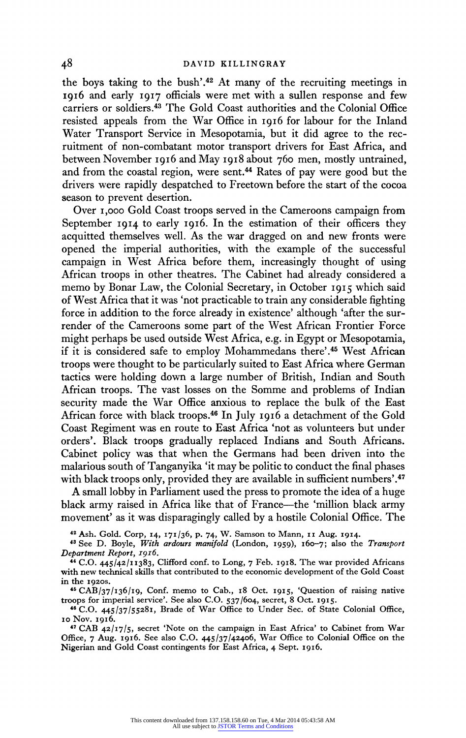**the boys taking to the bush'.42 At many of the recruiting meetings in I916 and early I9I7 officials were met with a sullen response and few carriers or soldiers.43 The Gold Coast authorities and the Colonial Office resisted appeals from the War Office in I9I6 for labour for the Inland Water Transport Service in Mesopotamia, but it did agree to the recruitment of non-combatant motor transport drivers for East Africa, and between November I9I6 and May I918 about 760 men, mostly untrained, and from the coastal region, were sent.44 Rates of pay were good but the drivers were rapidly despatched to Freetown before the start of the cocoa season to prevent desertion.** 

**Over I,ooo Gold Coast troops served in the Cameroons campaign from September I9I4 to early 1916. In the estimation of their officers they acquitted themselves well. As the war dragged on and new fronts were opened the imperial authorities, with the example of the successful campaign in West Africa before them, increasingly thought of using African troops in other theatres. The Cabinet had already considered a memo by Bonar Law, the Colonial Secretary, in October I9I5 which said of West Africa that it was 'not practicable to train any considerable fighting force in addition to the force already in existence' although 'after the surrender of the Cameroons some part of the West African Frontier Force might perhaps be used outside West Africa, e.g. in Egypt or Mesopotamia, if it is considered safe to employ Mohammedans there'.45 West African troops were thought to be particularly suited to East Africa where German tactics were holding down a large number of British, Indian and South African troops. The vast losses on the Somme and problems of Indian security made the War Office anxious to replace the bulk of the East African force with black troops.46 In July I916 a detachment of the Gold Coast Regiment was en route to East Africa 'not as volunteers but under orders'. Black troops gradually replaced Indians and South Africans. Cabinet policy was that when the Germans had been driven into the malarious south of Tanganyika 'it may be politic to conduct the final phases with black troops only, provided they are available in sufficient numbers'.47** 

**A small lobby in Parliament used the press to promote the idea of a huge black army raised in Africa like that of France-the 'million black army movement' as it was disparagingly called by a hostile Colonial Office. The** 

**<sup>42</sup>Ash. Gold. Corp, I4, 171/36, p. 74, W. Samson to Mann, Ix Aug. 1914.** 

**48 See D. Boyle, With ardours manifold (London, I959), 160-7; also the Transport Department Report, 19I6.** 

**<sup>4</sup>C.O. 445/42/11383, Clifford conf. to Long, 7 Feb. I9I8. The war provided Africans with new technical skills that contributed to the economic development of the Gold Coast in the I920S.** 

**<sup>46</sup>CAB/37/136/I9, Conf. memo to Cab., I8 Oct. I9I5, 'Question of raising native troops for imperial service'. See also C.O. 537/604, secret, 8 Oct. 19I5.** 

**46 C.O. 445/37/5528I, Brade of War Office to Under Sec. of State Colonial Office, o0 Nov. I9I6.** 

**<sup>47</sup>CAB 42/17/5, secret 'Note on the campaign in East Africa' to Cabinet from War Office, 7 Aug. 19I6. See also C.O. 445/37/42406, War Office to Colonial Office on the Nigerian and Gold Coast contingents for East Africa, 4 Sept. 19I6.**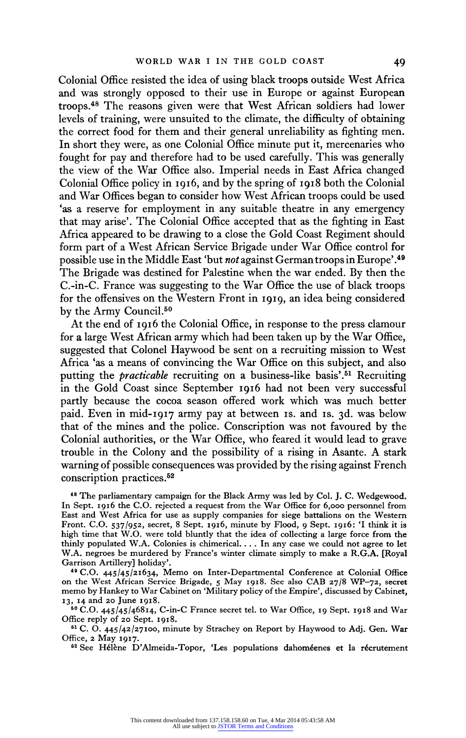**Colonial Office resisted the idea of using black troops outside West Africa and was strongly opposed to their use in Europe or against European troops.48 The reasons given were that West African soldiers had lower levels of training, were unsuited to the climate, the difficulty of obtaining the correct food for them and their general unreliability as fighting men. In short they were, as one Colonial Office minute put it, mercenaries who fought for pay and therefore had to be used carefully. This was generally the view of the War Office also. Imperial needs in East Africa changed Colonial Office policy in 1916, and by the spring of I918 both the Colonial and War Offices began to consider how West African troops could be used 'as a reserve for employment in any suitable theatre in any emergency that may arise'. The Colonial Office accepted that as the fighting in East Africa appeared to be drawing to a close the Gold Coast Regiment should form part of a West African Service Brigade under War Office control for possible use in the Middle East 'but not against German troops in Europe'.49 The Brigade was destined for Palestine when the war ended. By then the C.-in-C. France was suggesting to the War Office the use of black troops for the offensives on the Western Front in I919, an idea being considered by the Army Council.50** 

**At the end of 1916 the Colonial Office, in response to the press clamour for a large West African army which had been taken up by the War Office, suggested that Colonel Haywood be sent on a recruiting mission to West Africa 'as a means of convincing the War Office on this subject, and also putting the practicable recruiting on a business-like basis'.51 Recruiting in the Gold Coast since September 1916 had not been very successful partly because the cocoa season offered work which was much better paid. Even in mid-I9i7 army pay at between is. and Is. 3d. was below that of the mines and the police. Conscription was not favoured by the Colonial authorities, or the War Office, who feared it would lead to grave trouble in the Colony and the possibility of a rising in Asante. A stark warning of possible consequences was provided by the rising against French conscription practices.52** 

**<sup>48</sup>The parliamentary campaign for the Black Army was led by Col. J. C. Wedgewood. In Sept. I916 the C.O. rejected a request from the War Office for 6,ooo personnel from East and West Africa for use as supply companies for siege battalions on the Western Front. C.O. 537/952, secret, 8 Sept. 19I6, minute by Flood, 9 Sept. 1916: 'I think it is high time that W.O. were told bluntly that the idea of collecting a large force from the thinly populated W.A. Colonies is chimerical.... In any case we could not agree to let W.A. negroes be murdered by France's winter climate simply to make a R.G.A. [Royal Garrison Artillery] holiday'.** 

**49 C.O. 445/45/21634, Memo on Inter-Departmental Conference at Colonial Office on the West African Service Brigade, 5 May 1918. See also CAB 27/8 WP-72, secret memo by Hankey to War Cabinet on 'Military policy of the Empire', discussed by Cabinet, I3, 14 and 20 June 1918.** 

**50 C.O. 445/45/46814, C-in-C France secret tel. to War Office, I9 Sept. 1918 and War Office reply of 20 Sept. 1918.** 

**<sup>61</sup>C. 0. 445/42/27IO0, minute by Strachey on Report by Haywood to Adj. Gen. War Office, 2 May I917.** 

<sup>62</sup> See Hélène D'Almeida-Topor, 'Les populations dahoméenes et la récrutement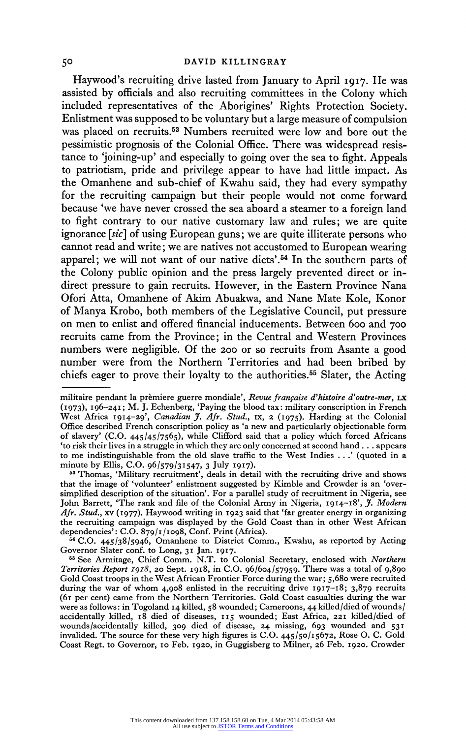**Haywood's recruiting drive lasted from January to April I9I7. He was assisted by officials and also recruiting committees in the Colony which included representatives of the Aborigines' Rights Protection Society. Enlistment was supposed to be voluntary but a large measure of compulsion was placed on recruits.53 Numbers recruited were low and bore out the pessimistic prognosis of the Colonial Office. There was widespread resistance to 'joining-up' and especially to going over the sea to fight. Appeals to patriotism, pride and privilege appear to have had little impact. As the Omanhene and sub-chief of Kwahu said, they had every sympathy for the recruiting campaign but their people would not come forward because 'we have never crossed the sea aboard a steamer to a foreign land to fight contrary to our native customary law and rules; we are quite ignorance [sic] of using European guns; we are quite illiterate persons who cannot read and write; we are natives not accustomed to European wearing apparel; we will not want of our native diets'.54 In the southern parts of the Colony public opinion and the press largely prevented direct or indirect pressure to gain recruits. However, in the Eastern Province Nana Ofori Atta, Omanhene of Akim Abuakwa, and Nane Mate Kole, Konor of Manya Krobo, both members of the Legislative Council, put pressure on men to enlist and offered financial inducements. Between 600 and 700 recruits came from the Province; in the Central and Western Provinces numbers were negligible. Of the 200 or so recruits from Asante a good number were from the Northern Territories and had been bribed by chiefs eager to prove their loyalty to the authorities.55 Slater, the Acting** 

**<sup>64</sup>C.O. 445/38/5946, Omanhene to District Comm., Kwahu, as reported by Acting**  Governor Slater conf. to Long, 31 Jan. 1917.<br><sup>55</sup> See Armitage, Chief Comm. N.T. to Colonial Secretary, enclosed with *Northern* 

**militaire pendant la premiere guerre mondiale', Revue franfaise d'histoire d'outre-mer, LX (1973), I96-24I; M. J. Echenberg, 'Paying the blood tax: military conscription in French**  West Africa **1914-29'**, *Canadian J. Afr. Stud.*, **IX, 2** (1975). Harding at the Colonial **Office described French conscription policy as 'a new and particularly objectionable form of slavery' (C.O. 445/45/7565), while Clifford said that a policy which forced Africans 'to risk their lives in a struggle in which they are only concerned at second hand . . . appears to me indistinguishable from the old slave traffic to the West Indies . .' (quoted in a minute by Ellis, C.O. 96/579/31547, 3 July 19I7).** 

**<sup>53</sup> Thomas, 'Military recruitment', deals in detail with the recruiting drive and shows that the image of 'volunteer' enlistment suggested by Kimble and Crowder is an 'oversimplified description of the situation'. For a parallel study of recruitment in Nigeria, see John Barrett, 'The rank and file of the Colonial Army in Nigeria, 1914-i8', J. Modern Afr. Stud., xv (I977). Haywood writing in 1923 said that 'far greater energy in organizing the recruiting campaign was displayed by the Gold Coast than in other West African dependencies': C.O. 879/1/1098, Conf. Print (Africa).** 

**Territories Report I9I8, 20 Sept. 19I8, in C.O. 96/604/57959. There was a total of 9,890 Gold Coast troops in the West African Frontier Force during the war; 5,680 were recruited during the war of whom 4,908 enlisted in the recruiting drive 19I7-I8; 3,879 recruits (6i per cent) came from the Northern Territories. Gold Coast casualties during the war were as follows: in Togoland I4 killed, 58 wounded; Cameroons, 44 killed/died of wounds/ accidentally killed, i8 died of diseases, 115 wounded; East Africa, 22I killed/died of wounds/accidentally killed, 309 died of disease, 24 missing, 693 wounded and 531 invalided. The source for these very high figures is C.O. 445/50/15672, Rose 0. C. Gold Coast Regt. to Governor, io Feb. I920, in Guggisberg to Milner, 26 Feb. I920. Crowder**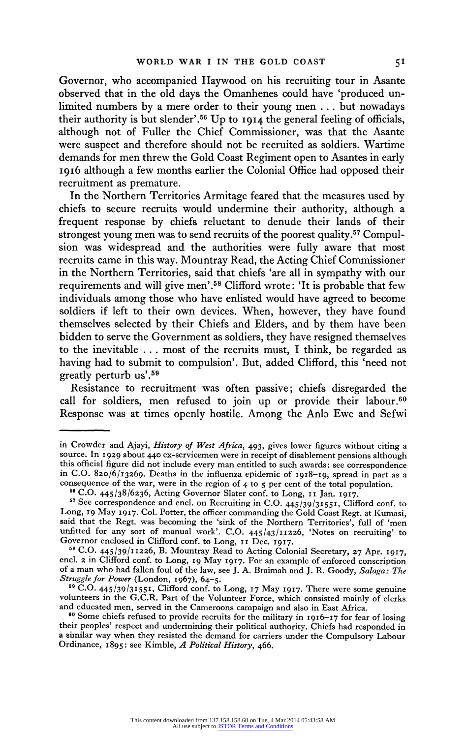**Governor, who accompanied Haywood on his recruiting tour in Asante observed that in the old days the Omanhenes could have 'produced unlimited numbers by a mere order to their young men . . . but nowadays their authority is but slender'.56 Up to I9I4 the general feeling of officials, although not of Fuller the Chief Commissioner, was that the Asante were suspect and therefore should not be recruited as soldiers. Wartime demands for men threw the Gold Coast Regiment open to Asantes in early 1916 although a few months earlier the Colonial Office had opposed their recruitment as premature.** 

**In the Northern Territories Armitage feared that the measures used by chiefs to secure recruits would undermine their authority, although a frequent response by chiefs reluctant to denude their lands of their strongest young men was to send recruits of the poorest quality.57 Compulsion was widespread and the authorities were fully aware that most recruits came in this way. Mountray Read, the Acting Chief Commissioner in the Northern Territories, said that chiefs 'are all in sympathy with our requirements and will give men'.58 Clifford wrote: 'It is probable that few individuals among those who have enlisted would have agreed to become soldiers if left to their own devices. When, however, they have found themselves selected by their Chiefs and Elders, and by them have been bidden to serve the Government as soldiers, they have resigned themselves to the inevitable . . . most of the recruits must, I think, be regarded as having had to submit to compulsion'. But, added Clifford, this 'need not greatly perturb us'.59** 

**Resistance to recruitment was often passive; chiefs disregarded the call for soldiers, men refused to join up or provide their labour.60 Response was at times openly hostile. Among the Anlo Ewe and Sefwi** 

**in Crowder and Ajayi, History of West Africa, 493, gives lower figures without citing a source. In 1929 about 440 ex-servicemen were in receipt of disablement pensions although this official figure did not include every man entitled to such awards: see correspondence**  in C.O. 820/6/13269. Deaths in the influenza epidemic of **1918-19**, spread in part as a **consequence of the war, were in the region of 4 to 5 per cent of the total population.** 

<sup>&</sup>lt;sup>57</sup> See correspondence and encl. on Recruiting in C.O. 445/39/31551, Clifford conf. to Long, 19 May 1917. Col. Potter, the officer commanding the Gold Coast Regt. at Kumasi, **said that the Regt. was becoming the 'sink of the Northern Territories', full of 'men unfitted for any sort of manual work'. C.O. 445/43/11226, 'Notes on recruiting' to**  Governor enclosed in Clifford conf. to Long, **11 Dec. 1917.** <sup>58</sup> C.O. 445/39/11226, **B.** Mountray Read to Acting Colonial Secretary, 27 Apr. 1917,

**encl. 2 in Clifford conf. to Long, 19 May 1917. For an example of enforced conscription of a man who had fallen foul of the law, see J. A. Braimah and J. R. Goody, Salaga: The Struggle for Power (London, I967), 64-5.** 

**<sup>&</sup>quot;9 C.O. 445/39/31551, Clifford conf. to Long, 17 May 1917. There were some genuine volunteers in the G.C.R. Part of the Volunteer Force, which consisted mainly of clerks and educated men, served in the Cameroons campaign and also in East Africa.** 

**<sup>60</sup>Some chiefs refused to provide recruits for the military in I916-17 for fear of losing their peoples' respect and undermining their political authority. Chiefs had responded in a similar way when they resisted the demand for carriers under the Compulsory Labour Ordinance, 1895: see Kimble, A Political History, 466.**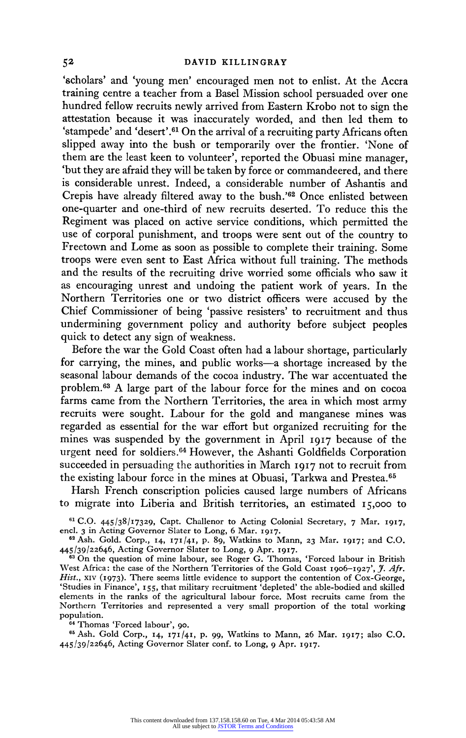**'scholars' and 'young men' encouraged men not to enlist. At the Accra training centre a teacher from a Basel Mission school persuaded over one hundred fellow recruits newly arrived from Eastern Krobo not to sign the attestation because it was inaccurately worded, and then led them to 'stampede' and 'desert'.61 On the arrival of a recruiting party Africans often slipped away into the bush or temporarily over the frontier. 'None of them are the least keen to volunteer', reported the Obuasi mine manager, 'but they are afraid they will be taken by force or commandeered, and there is considerable unrest. Indeed, a considerable number of Ashantis and Crepis have already filtered away to the bush.'62 Once enlisted between one-quarter and one-third of new recruits deserted. To reduce this the Regiment was placed on active service conditions, which permitted the use of corporal punishment, and troops were sent out of the country to Freetown and Lome as soon as possible to complete their training. Some troops were even sent to East Africa without full training. The methods and the results of the recruiting drive worried some officials who saw it as encouraging unrest and undoing the patient work of years. In the Northern Territories one or two district officers were accused by the Chief Commissioner of being 'passive resisters' to recruitment and thus undermining government policy and authority before subject peoples quick to detect any sign of weakness.** 

**Before the war the Gold Coast often had a labour shortage, particularly for carrying, the mines, and public works-a shortage increased by the seasonal labour demands of the cocoa industry. The war accentuated the problem.63 A large part of the labour force for the mines and on cocoa farms came from the Northern Territories, the area in which most army recruits were sought. Labour for the gold and manganese mines was regarded as essential for the war effort but organized recruiting for the mines was suspended by the government in April 1917 because of the urgent need for soldiers.64 However, the Ashanti Goldfields Corporation succeeded in persuading the authorities in March I9I7 not to recruit from the existing labour force in the mines at Obuasi, Tarkwa and Prestea.65** 

**Harsh French conscription policies caused large numbers of Africans to migrate into Liberia and British territories, an estimated I5,000 to** 

**61 C.O. 445/38/17329, Capt. Challenor to Acting Colonial Secretary, 7 Mar. 1917, end. 3 in Acting Governor Slater to Long, 6 Mar. I917.** 

**62 Ash. Gold. Corp., 14, 171/41, p. 89, Watkins to Mann, 23 Mar. 1917; and C.O. 445/39/22646, Acting Governor Slater to Long, 9 Apr. 1917.** 

**<sup>63</sup>On the question of mine labour, see Roger G. Thomas, 'Forced labour in British**  West Africa: the case of the Northern Territories of the Gold Coast 1906-1927', J. Afr. **Hist., xIv (1973). There seems little evidence to support the contention of Cox-George, 'Studies in Finance', I55, that military recruitment 'depleted' the able-bodied and skilled elements in the ranks of the agricultural labour force. Most recruits came from the Northern Territories and represented a very small proportion of the total working population.** 

**<sup>64</sup>Thomas 'Forced labour', 90.** 

**65 Ash. Gold Corp., 14, 171/41, p. 99, Watkins to Mann, 26 Mar. 1917; also C.O. 445/39/22646, Acting Governor Slater conf. to Long, 9 Apr. I917.**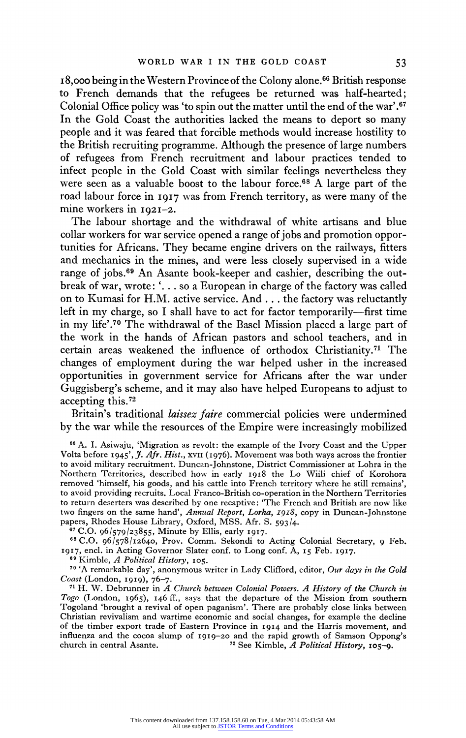**I8,000 being in the Western Province of the Colony alone.66 British response to French demands that the refugees be returned was half-hearted; Colonial Office policy was 'to spin out the matter until the end of the war'.67 In the Gold Coast the authorities lacked the means to deport so many people and it was feared that forcible methods would increase hostility to the British recruiting programme. Although the presence of large numbers of refugees from French recruitment and labour practices tended to infect people in the Gold Coast with similar feelings nevertheless they were seen as a valuable boost to the labour force.68 A large part of the road labour force in 1917 was from French territory, as were many of the mine workers in 1921-2.** 

**The labour shortage and the withdrawal of white artisans and blue collar workers for war service opened a range of jobs and promotion opportunities for Africans. They became engine drivers on the railways, fitters and mechanics in the mines, and were less closely supervised in a wide range of jobs.69 An Asante book-keeper and cashier, describing the outbreak of war, wrote: '. . . so a European in charge of the factory was called on to Kumasi for H.M. active service. And ... the factory was reluctantly**  left in my charge, so I shall have to act for factor temporarily—first time **in my life'.70 The withdrawal of the Basel Mission placed a large part of the work in the hands of African pastors and school teachers, and in certain areas weakened the influence of orthodox Christianity.71 The changes of employment during the war helped usher in the increased opportunities in government service for Africans after the war under Guggisberg's scheme, and it may also have helped Europeans to adjust to accepting this.72** 

**Britain's traditional laissez faire commercial policies were undermined by the war while the resources of the Empire were increasingly mobilized** 

**66 A. I. Asiwaju, 'Migration as revolt: the example of the Ivory Coast and the Upper Volta before 1945', J. Afr. Hist., xvII (1976). Movement was both ways across the frontier to avoid military recruitment. Duncan-Johnstone, District Commissioner at Lohra in the Northern Territories, described how in early 1918 the Lo Wiili chief of Korohora removed 'himself, his goods, and his cattle into French territory where he still remains', to avoid providing recruits. Local Franco-British co-operation in the Northern Territories to return deserters was described by one recaptive: 'The French and British are now like**  two fingers on the same hand', *Annual Report*, *Lorha*, 1918, copy in Duncan-Johnstone papers, Rhodes House Library, Oxford, MSS. Afr. S. 593/4.

**papers, Rhodes House Library, Oxford, MSS. Afr. S. 593/4. 67 C.O. 96/579/23855, Minute by Ellis, early 1917.** 

**<sup>68</sup>C.O. 96/578/I2640, Prov. Comm. Sekondi to Acting Colonial Secretary, 9 Feb. 1917, encl. in Acting Governor Slater conf. to Long conf. A, I5 Feb. 1917. 69 Kimble, A Political History, 105.** 

**<sup>70</sup>'A remarkable day', anonymous writer in Lady Clifford, editor, Our days in the Gold** 

<sup>71</sup> H. W. Debrunner in *A Church between Colonial Powers. A History of the Church in* Togo (London, 1965), 146 ff., says that the departure of the Mission from southern **Togoland 'brought a revival of open paganism'. There are probably close links between Christian revivalism and wartime economic and social changes, for example the decline of the timber export trade of Eastern Province in 1914 and the Harris movement, and**  influenza and the cocoa slump of 1919-20 and the rapid growth of Samson Oppong's church in central Asante.<sup>72</sup> See Kimble, *A Political History*, 105-9. <sup>72</sup> See Kimble, A Political History, 105-9.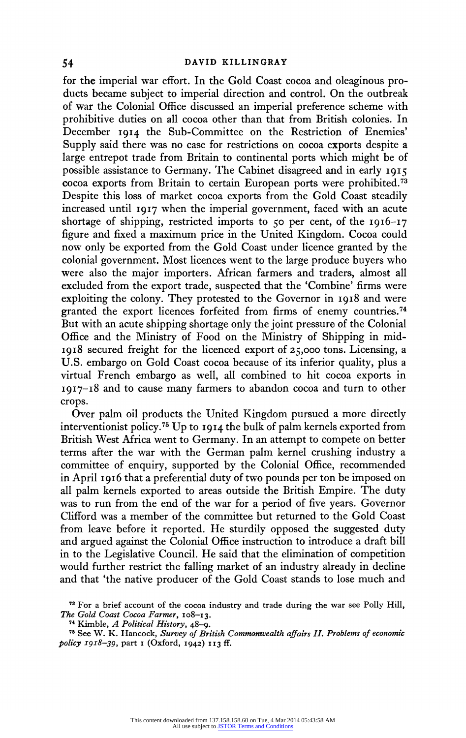**for the imperial war effort. In the Gold Coast cocoa and oleaginous products became subject to imperial direction and control. On the outbreak of war the Colonial Office discussed an imperial preference scheme with prohibitive duties on all cocoa other than that from British colonies. In December I914 the Sub-Committee on the Restriction of Enemies' Supply said there was no case for restrictions on cocoa exports despite a large entrepot trade from Britain to continental ports which might be of possible assistance to Germany. The Cabinet disagreed and in early i915 cocoa exports from Britain to certain European ports were prohibited.73 Despite this loss of market cocoa exports from the Gold Coast steadily increased until 19I7 when the imperial government, faced with an acute shortage of shipping, restricted imports to 50 per cent, of the 1916-17 figure and fixed a maximum price in the United Kingdom. Cocoa could now only be exported from the Gold Coast under licence granted by the colonial government. Most licences went to the large produce buyers who were also the major importers. African farmers and traders, almost all excluded from the export trade, suspected that the 'Combine' firms were exploiting the colony. They protested to the Governor in 1918 and were granted the export licences forfeited from firms of enemy countries.74 But with an acute shipping shortage only the joint pressure of the Colonial Office and the Ministry of Food on the Ministry of Shipping in mid-1918 secured freight for the licenced export of 25,000 tons. Licensing, a U.S. embargo on Gold Coast cocoa because of its inferior quality, plus a virtual French embargo as well, all combined to hit cocoa exports in 1917-18 and to cause many farmers to abandon cocoa and turn to other crops.** 

**Over palm oil products the United Kingdom pursued a more directly interventionist policy.75 Up to 1914 the bulk of palm kernels exported from British West Africa went to Germany. In an attempt to compete on better terms after the war with the German palm kernel crushing industry a committee of enquiry, supported by the Colonial Office, recommended in April 1916 that a preferential duty of two pounds per ton be imposed on all palm kernels exported to areas outside the British Empire. The duty was to run from the end of the war for a period of five years. Governor Clifford was a member of the committee but returned to the Gold Coast from leave before it reported. He sturdily opposed the suggested duty and argued against the Colonial Office instruction to introduce a draft bill in to the Legislative Council. He said that the elimination of competition would further restrict the falling market of an industry already in decline and that 'the native producer of the Gold Coast stands to lose much and** 

**<sup>73</sup>For a brief account of the cocoa industry and trade during the war see Polly Hill, The Gold Coast Cocoa Farmer, I08-I3.** 

**<sup>74</sup>Kimble, A Political History, 48-9.** 

**<sup>75</sup> See W. K. Hancock, Survey of British Commonwealth affairs II. Problems of economic policy 918-39, part i (Oxford, 1942) II3 ff.**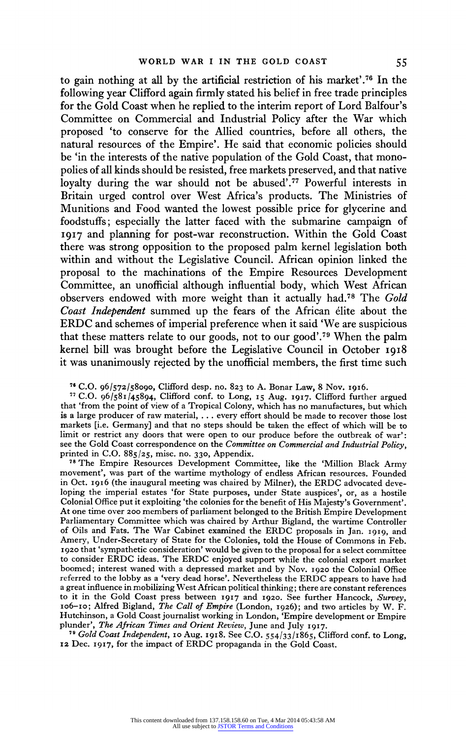**to gain nothing at all by the artificial restriction of his market'.76 In the following year Clifford again firmly stated his belief in free trade principles for the Gold Coast when he replied to the interim report of Lord Balfour's Committee on Commercial and Industrial Policy after the War which proposed 'to conserve for the Allied countries, before all others, the natural resources of the Empire'. He said that economic policies should be 'in the interests of the native population of the Gold Coast, that monopolies of all kinds should be resisted, free markets preserved, and that native loyalty during the war should not be abused'.77 Powerful interests in Britain urged control over West Africa's products. The Ministries of Munitions and Food wanted the lowest possible price for glycerine and foodstuffs; especially the latter faced with the submarine campaign of 19I7 and planning for post-war reconstruction. Within the Gold Coast there was strong opposition to the proposed palm kernel legislation both within and without the Legislative Council. African opinion linked the proposal to the machinations of the Empire Resources Development Committee, an unofficial although influential body, which West African observers endowed with more weight than it actually had.78 The Gold Coast Independent summed up the fears of the African elite about the ERDC and schemes of imperial preference when it said 'We are suspicious that these matters relate to our goods, not to our good'.79 When the palm kernel bill was brought before the Legislative Council in October I9I8 it was unanimously rejected by the unofficial members, the first time such** 

**<sup>76</sup>C.O. 96/572/58090, Clifford desp. no. 823 to A. Bonar Law, 8 Nov. 1916.** 

**<sup>77</sup>C.O. 96/58I/45894, Clifford conf. to Long, I5 Aug. I9I7. Clifford further argued that 'from the point of view of a Tropical Colony, which has no manufactures, but which is a large producer of raw material, . . . every effort should be made to recover those lost markets [i.e. Germany] and that no steps should be taken the effect of which will be to**  limit or restrict any doors that were open to our produce before the outbreak of war': **see the Gold Coast correspondence on the Committee on Commercial and Industrial Policy, printed in C.O. 885/25, misc. no. 330, Appendix.** 

**<sup>78</sup>The Empire Resources Development Committee, like the 'Million Black Army movement', was part of the wartime mythology of endless African resources. Founded in Oct. I916 (the inaugural meeting was chaired by Milner), the ERDC advocated developing the imperial estates 'for State purposes, under State auspices', or, as a hostile Colonial Office put it exploiting 'the colonies for the benefit of His Majesty's Government'. At one time over 200 members of parliament belonged to the British Empire Development Parliamentary Committee which was chaired by Arthur Bigland, the wartime Controller of Oils and Fats. The War Cabinet examined the ERDC proposals in Jan. 1919, and Amery, Under-Secretary of State for the Colonies, told the House of Commons in Feb. 1920 that 'sympathetic consideration' would be given to the proposal for a select committee to consider ERDC ideas. The ERDC enjoyed support while the colonial export market boomed; interest waned with a depressed market and by Nov. 1920 the Colonial Office referred to the lobby as a 'very dead horse'. Nevertheless the ERDC appears to have had a great influence in mobilizing West African political thinking; there are constant references to it in the Gold Coast press between I9I7 and 1920. See further Hancock, Survey, Io6-Io; Alfred Bigland, The Call of Empire (London, 1926); and two articles by W. F. Hutchinson, a Gold Coast journalist working in London, 'Empire development or Empire plunder', The African Times and Orient Review, June and July 1917.** 

**<sup>79</sup>Gold Coast Independent, Io Aug. I9I8. See C.O. 554/33/1865, Clifford conf. to Long, 12 Dec. 19I7, for the impact of ERDC propaganda in the Gold Coast.**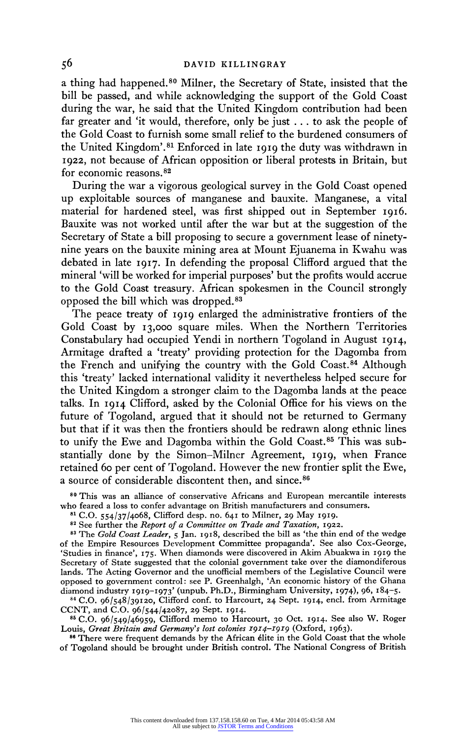**a thing had happened.80 Milner, the Secretary of State, insisted that the bill be passed, and while acknowledging the support of the Gold Coast during the war, he said that the United Kingdom contribution had been far greater and 'it would, therefore, only be just . . . to ask the people of the Gold Coast to furnish some small relief to the burdened consumers of the United Kingdom'.81 Enforced in late 1919 the duty was withdrawn in 1922, not because of African opposition or liberal protests in Britain, but for economic reasons.82** 

**During the war a vigorous geological survey in the Gold Coast opened up exploitable sources of manganese and bauxite. Manganese, a vital material for hardened steel, was first shipped out in September 1916. Bauxite was not worked until after the war but at the suggestion of the Secretary of State a bill proposing to secure a government lease of ninetynine years on the bauxite mining area at Mount Ejuanema in Kwahu was debated in late I9I7. In defending the proposal Clifford argued that the mineral 'will be worked for imperial purposes' but the profits would accrue to the Gold Coast treasury. African spokesmen in the Council strongly opposed the bill which was dropped.83** 

**The peace treaty of 1919 enlarged the administrative frontiers of the Gold Coast by I3,000 square miles. When the Northern Territories Constabulary had occupied Yendi in northern Togoland in August 1914, Armitage drafted a 'treaty' providing protection for the Dagomba from the French and unifying the country with the Gold Coast.84 Although this 'treaty' lacked international validity it nevertheless helped secure for the United Kingdom a stronger claim to the Dagomba lands at the peace talks. In 1914 Clifford, asked by the Colonial Office for his views on the future of Togoland, argued that it should not be returned to Germany but that if it was then the frontiers should be redrawn along ethnic lines to unify the Ewe and Dagomba within the Gold Coast.85 This was substantially done by the Simon-Milner Agreement, 1919, when France retained 60 per cent of Togoland. However the new frontier split the Ewe, a source of considerable discontent then, and since.86** 

**<sup>80</sup>This was an alliance of conservative Africans and European mercantile interests who feared a loss to confer advantage on British manufacturers and consumers.** 

**<sup>81</sup>C.O. 554/37/4068, Clifford desp. no. 641 to Milner, 29 May I919.** 

**<sup>82</sup>See further the Report of a Committee on Trade and Taxation, 1922.** 

**<sup>83</sup>The Gold Coast Leader, 5 Jan. 1918, described the bill as 'the thin end of the wedge of the Empire Resources Development Committee propaganda'. See also Cox-George, 'Studies in finance', 175. When diamonds were discovered in Akim Abuakwa in I919 the Secretary of State suggested that the colonial government take over the diamondiferous lands. The Acting Governor and the unofficial members of the Legislative Council were opposed to government control: see P. Greenhalgh, 'An economic history of the Ghana diamond industry 1919-1973' (unpub. Ph.D., Birmingham University, I974), 96, I84-5.** 

**84 C.O. 96/548/39120, Clifford conf. to Harcourt, 24 Sept. I914, encl. from Armitage CCNT, and C.O. 96/544/42087, 29 Sept. I914.** 

**<sup>85</sup>C.O. 96/549/46959, Clifford memo to Harcourt, 30 Oct. I914. See also W. Roger Louis, Great Britain and Germany's lost colonies 19I4-19I9 (Oxford, 1963).** 

**s6 There were frequent demands by the African elite in the Gold Coast that the whole of Togoland should be brought under British control. The National Congress of British**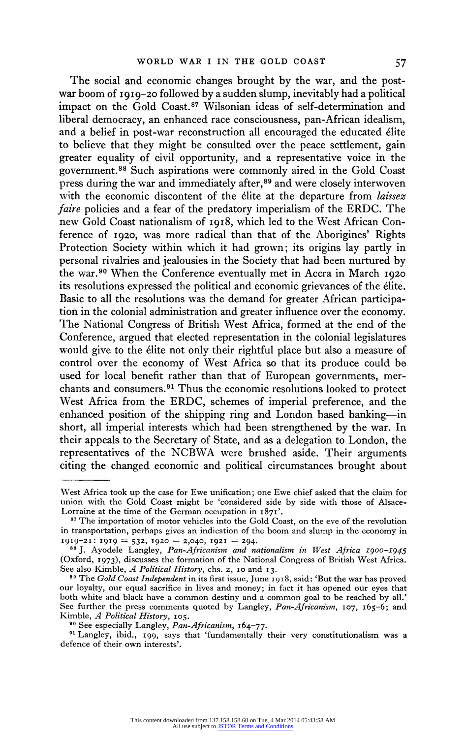**The social and economic changes brought by the war, and the postwar boom of 1919-20 followed by a sudden slump, inevitably had a political impact on the Gold Coast.87 Wilsonian ideas of self-determination and liberal democracy, an enhanced race consciousness, pan-African idealism, and a belief in post-war reconstruction all encouraged the educated elite to believe that they might be consulted over the peace settlement, gain greater equality of civil opportunity, and a representative voice in the government.88 Such aspirations were commonly aired in the Gold Coast press during the war and immediately after,89 and were closely interwoven with the economic discontent of the elite at the departure from laissez faire policies and a fear of the predatory imperialism of the ERDC. The new Gold Coast nationalism of I918, which led to the West African Conference of 1920, was more radical than that of the Aborigines' Rights Protection Society within which it had grown; its origins lay partly in personal rivalries and jealousies in the Society that had been nurtured by the war.90 When the Conference eventually met in Accra in March <sup>1920</sup> its resolutions expressed the political and economic grievances of the elite. Basic to all the resolutions was the demand for greater African participation in the colonial administration and greater influence over the economy. The National Congress of British West Africa, formed at the end of the Conference, argued that elected representation in the colonial legislatures would give to the elite not only their rightful place but also a measure of control over the economy of West Africa so that its produce could be used for local benefit rather than that of European governments, merchants and consumers.91 Thus the economic resolutions looked to protect West Africa from the ERDC, schemes of imperial preference, and the enhanced position of the shipping ring and London based banking-in short, all imperial interests which had been strengthened by the war. In their appeals to the Secretary of State, and as a delegation to London, the representatives of the NCBWA were brushed aside. Their arguments citing the changed economic and political circumstances brought about** 

**West Africa took up the case for Ewe unification; one Ewe chief asked that the claim for union with the Gold Coast might be 'considered side by side with those of Alsace-Lorraine at the time of the German occupation in I871'.** 

**<sup>87</sup>The importation of motor vehicles into the Gold Coast, on the eve of the revolution in transportation, perhaps gives an indication of the boom and slump in the economy in** 

**<sup>1919-21: 1919 = 532, 1920 = 2,040, 1921 = 294.</sup>**<br>
<sup>88</sup> J. Ayodele Langley, *Pan-Africanism and nationalism in West Africa 1900–1945* **(Oxford, 1973), discusses the formation of the National Congress of British West Africa. See also Kimble, A Political History, chs. 2, I0 and 13.** 

**<sup>89</sup>The Gold Coast Independent in its first issue, June 1918, said: 'But the war has proved our loyalty, our equal sacrifice in lives and money; in fact it has opened our eyes that both white and black have a common destiny and a common goal to be reached by all.' See further the press comments quoted by Langley, Pan-Africanism, 107, I65-6; and Kimble, A Political History, I05.** 

**<sup>90</sup>See especially Langley, Pan-Africanism, I64-77.** 

**<sup>91</sup>Langley, ibid., i99, says that 'fundamentally their very constitutionalism was a defence of their own interests'.**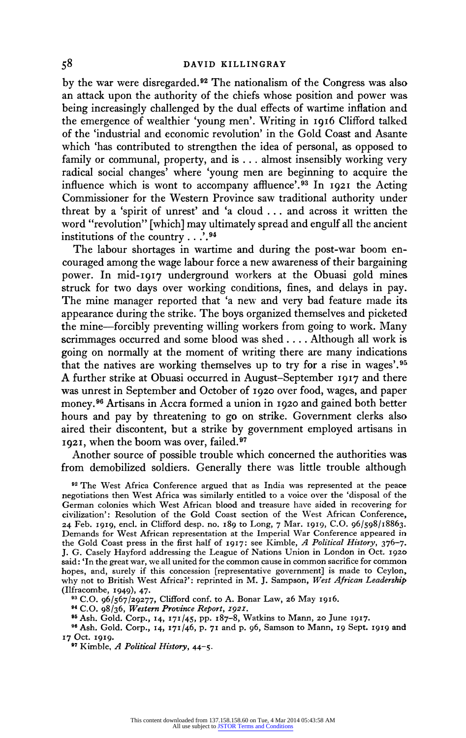**by the war were disregarded.92 The nationalism of the Congress was also an attack upon the authority of the chiefs whose position and power was being increasingly challenged by the dual effects of wartime inflation and the emergence of wealthier 'young men'. Writing in 1916 Clifford talked of the 'industrial and economic revolution' in the Gold Coast and Asante which 'has contributed to strengthen the idea of personal, as opposed to family or communal, property, and is ... almost insensibly working very radical social changes' where 'young men are beginning to acquire the influence which is wont to accompany affluence'.93 In 1921 the Acting Commissioner for the Western Province saw traditional authority under threat by a 'spirit of unrest' and 'a cloud ... and across it written the word "revolution" [which] may ultimately spread and engulf all the ancient institutions of the country . . '.94** 

**The labour shortages in wartime and during the post-war boom encouraged among the wage labour force a new awareness of their bargaining power. In mid-I917 underground workers at the Obuasi gold mines struck for two days over working conditions, fines, and delays in pay. The mine manager reported that 'a new and very bad feature made its appearance during the strike. The boys organized themselves and picketed the mine-forcibly preventing willing workers from going to work. Many scrimmages occurred and some blood was shed .... Although all work is going on normally at the moment of writing there are many indications that the natives are working themselves up to try for a rise in wages'.95 A further strike at Obuasi occurred in August-September I917 and there was unrest in September and October of 1920 over food, wages, and paper money.96 Artisans in Accra formed a union in I920 and gained both better hours and pay by threatening to go on strike. Government clerks also aired their discontent, but a strike by government employed artisans in 1921, when the boom was over, failed.97** 

**Another source of possible trouble which concerned the authorities was from demobilized soldiers. Generally there was little trouble although** 

**<sup>92</sup>The West Africa Conference argued that as India was represented at the peace negotiations then West Africa was similarly entitled to a voice over the 'disposal of the German colonies which West African blood and treasure have aided in recovering for civilization': Resolution of the Gold Coast section of the West African Conference, 24 Feb. I9I9, encl. in Clifford desp. no. 189 to Long, 7 Mar. I919, C.O. 96/598/18863. Demands for West African representation at the Imperial War Conference appeared in the Gold Coast press in the first half of 1917: see Kimble, A Political History, 376-7. J. G. Casely Hayford addressing the League of Nations Union in London in Oct. I920 said: 'In the great war, we all united for the common cause in common sacrifice for common hopes, and, surely if this concession [representative government] is made to Ceylon, why not to British West Africa?': reprinted in M. J. Sampson, West African Leadership (Ilfracombe, 1949), 47.** 

**<sup>93</sup>C.O. 96/567/29277, Clifford conf. to A. Bonar Law, 26 May 19I6.** 

**94 C.O. 98/36, Western Province Report, I921.** 

**9" Ash. Gold. Corp., 14, 171/45, PP. 187-8, Watkins to Mann, 20 June 1917.** 

**<sup>96</sup>Ash. Gold. Corp., 14, 17I/46, p. 71 and p. 96, Samson to Mann, I9 Sept. 1919 and 17 Oct. I919.** 

**97 Kimble, A Political History, 44-5.**